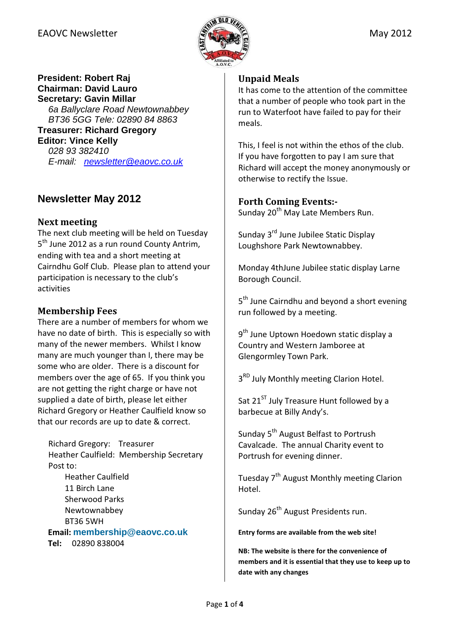## EAOVC Newsletter  $\mathbb{R}$   $\mathbb{R}$  and  $\mathbb{R}$  May 2012



#### **President: Robert Raj Chairman: David Lauro Secretary: Gavin Millar**

6a Ballyclare Road Newtownabbey BT36 5GG Tele: 02890 84 8863 **Treasurer: Richard Gregory** 

#### **Editor: Vince Kelly**

028 93 382410 E-mail: newsletter@eaovc.co.uk

# **Newsletter May 2012**

#### Next meeting

The next club meeting will be held on Tuesday 5<sup>th</sup> June 2012 as a run round County Antrim, ending with tea and a short meeting at Cairndhu Golf Club. Please plan to attend your participation is necessary to the club's activities

## Membership Fees

There are a number of members for whom we have no date of birth. This is especially so with many of the newer members. Whilst I know many are much younger than I, there may be some who are older. There is a discount for members over the age of 65. If you think you are not getting the right charge or have not supplied a date of birth, please let either Richard Gregory or Heather Caulfield know so that our records are up to date & correct.

Richard Gregory: Treasurer Heather Caulfield: Membership Secretary Post to: Heather Caulfield 11 Birch Lane Sherwood Parks Newtownabbey BT36 5WH Email: **membership@eaovc.co.uk** Tel: 02890 838004

#### Unpaid Meals

It has come to the attention of the committee that a number of people who took part in the run to Waterfoot have failed to pay for their meals.

This, I feel is not within the ethos of the club. If you have forgotten to pay I am sure that Richard will accept the money anonymously or otherwise to rectify the Issue.

#### Forth Coming Events:-

Sunday 20<sup>th</sup> May Late Members Run.

Sunday 3<sup>rd</sup> June Jubilee Static Display Loughshore Park Newtownabbey.

Monday 4thJune Jubilee static display Larne Borough Council.

5<sup>th</sup> June Cairndhu and beyond a short evening run followed by a meeting.

9<sup>th</sup> June Uptown Hoedown static display a Country and Western Jamboree at Glengormley Town Park.

3<sup>RD</sup> July Monthly meeting Clarion Hotel.

Sat  $21^{ST}$  July Treasure Hunt followed by a barbecue at Billy Andy's.

Sunday 5<sup>th</sup> August Belfast to Portrush Cavalcade. The annual Charity event to Portrush for evening dinner.

Tuesday 7<sup>th</sup> August Monthly meeting Clarion Hotel.

Sunday 26<sup>th</sup> August Presidents run.

Entry forms are available from the web site!

NB: The website is there for the convenience of members and it is essential that they use to keep up to date with any changes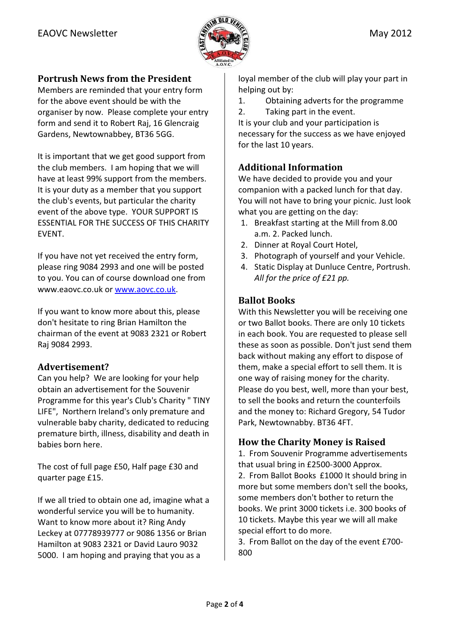

## Portrush News from the President

Members are reminded that your entry form for the above event should be with the organiser by now. Please complete your entry form and send it to Robert Raj, 16 Glencraig Gardens, Newtownabbey, BT36 5GG.

It is important that we get good support from the club members. I am hoping that we will have at least 99% support from the members. It is your duty as a member that you support the club's events, but particular the charity event of the above type. YOUR SUPPORT IS ESSENTIAL FOR THE SUCCESS OF THIS CHARITY EVENT.

If you have not yet received the entry form, please ring 9084 2993 and one will be posted to you. You can of course download one from www.eaovc.co.uk or www.aovc.co.uk.

If you want to know more about this, please don't hesitate to ring Brian Hamilton the chairman of the event at 9083 2321 or Robert Raj 9084 2993.

## Advertisement?

Can you help? We are looking for your help obtain an advertisement for the Souvenir Programme for this year's Club's Charity " TINY LIFE", Northern Ireland's only premature and vulnerable baby charity, dedicated to reducing premature birth, illness, disability and death in babies born here.

The cost of full page £50, Half page £30 and quarter page £15.

If we all tried to obtain one ad, imagine what a wonderful service you will be to humanity. Want to know more about it? Ring Andy Leckey at 07778939777 or 9086 1356 or Brian Hamilton at 9083 2321 or David Lauro 9032 5000. I am hoping and praying that you as a

loyal member of the club will play your part in helping out by:

- 1. Obtaining adverts for the programme
- 2. Taking part in the event.

It is your club and your participation is necessary for the success as we have enjoyed for the last 10 years.

## Additional Information

We have decided to provide you and your companion with a packed lunch for that day. You will not have to bring your picnic. Just look what you are getting on the day:

- 1. Breakfast starting at the Mill from 8.00 a.m. 2. Packed lunch.
- 2. Dinner at Royal Court Hotel,
- 3. Photograph of yourself and your Vehicle.
- 4. Static Display at Dunluce Centre, Portrush. All for the price of £21 pp.

## Ballot Books

With this Newsletter you will be receiving one or two Ballot books. There are only 10 tickets in each book. You are requested to please sell these as soon as possible. Don't just send them back without making any effort to dispose of them, make a special effort to sell them. It is one way of raising money for the charity. Please do you best, well, more than your best, to sell the books and return the counterfoils and the money to: Richard Gregory, 54 Tudor Park, Newtownabby. BT36 4FT.

## How the Charity Money is Raised

1. From Souvenir Programme advertisements that usual bring in £2500-3000 Approx. 2. From Ballot Books £1000 It should bring in more but some members don't sell the books, some members don't bother to return the books. We print 3000 tickets i.e. 300 books of 10 tickets. Maybe this year we will all make special effort to do more.

3. From Ballot on the day of the event £700- 800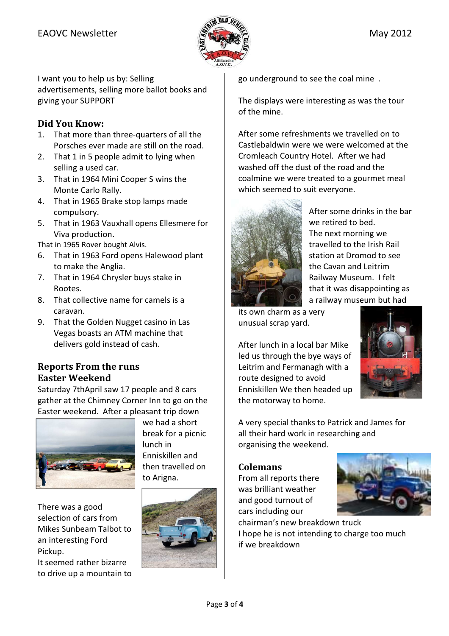

I want you to help us by: Selling advertisements, selling more ballot books and giving your SUPPORT

## Did You Know:

- 1. That more than three-quarters of all the Porsches ever made are still on the road.
- 2. That 1 in 5 people admit to lying when selling a used car.
- 3. That in 1964 Mini Cooper S wins the Monte Carlo Rally.
- 4. That in 1965 Brake stop lamps made compulsory.
- 5. That in 1963 Vauxhall opens Ellesmere for Viva production.

That in 1965 Rover bought Alvis.

- 6. That in 1963 Ford opens Halewood plant to make the Anglia.
- 7. That in 1964 Chrysler buys stake in Rootes.
- 8. That collective name for camels is a caravan.
- 9. That the Golden Nugget casino in Las Vegas boasts an ATM machine that delivers gold instead of cash.

## Reports From the runs Easter Weekend

Saturday 7thApril saw 17 people and 8 cars gather at the Chimney Corner Inn to go on the Easter weekend. After a pleasant trip down



we had a short break for a picnic lunch in Enniskillen and then travelled on to Arigna.

There was a good selection of cars from Mikes Sunbeam Talbot to an interesting Ford Pickup.

It seemed rather bizarre to drive up a mountain to



go underground to see the coal mine .

The displays were interesting as was the tour of the mine.

After some refreshments we travelled on to Castlebaldwin were we were welcomed at the Cromleach Country Hotel. After we had washed off the dust of the road and the coalmine we were treated to a gourmet meal which seemed to suit everyone.



After some drinks in the bar we retired to bed. The next morning we travelled to the Irish Rail station at Dromod to see the Cavan and Leitrim Railway Museum. I felt that it was disappointing as a railway museum but had

its own charm as a very unusual scrap yard.

After lunch in a local bar Mike led us through the bye ways of Leitrim and Fermanagh with a route designed to avoid Enniskillen We then headed up the motorway to home.



A very special thanks to Patrick and James for all their hard work in researching and organising the weekend.

## Colemans

From all reports there was brilliant weather and good turnout of cars including our



chairman's new breakdown truck I hope he is not intending to charge too much if we breakdown